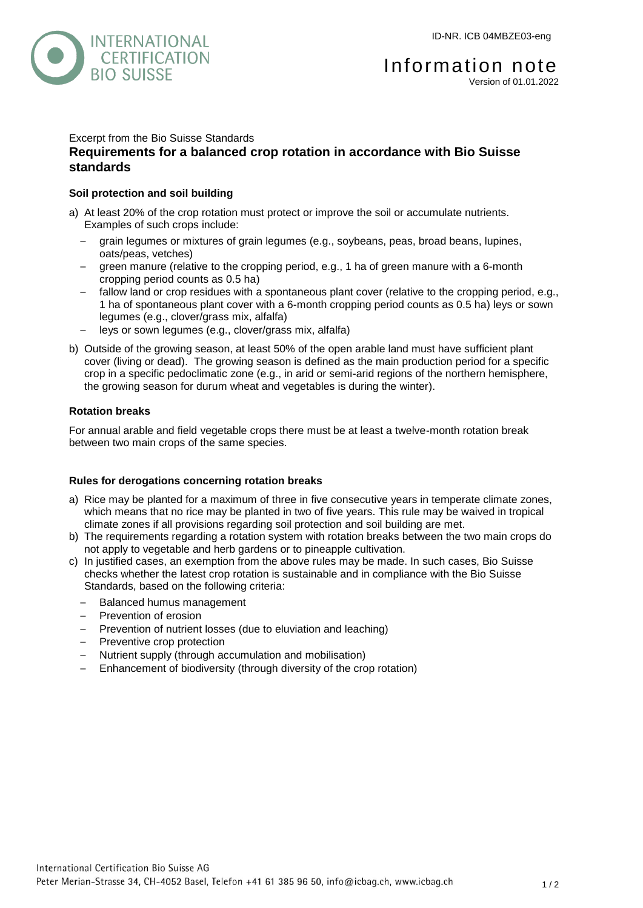

# Excerpt from the Bio Suisse Standards **Requirements for a balanced crop rotation in accordance with Bio Suisse standards**

# **Soil protection and soil building**

- a) At least 20% of the crop rotation must protect or improve the soil or accumulate nutrients. Examples of such crops include:
	- grain legumes or mixtures of grain legumes (e.g., soybeans, peas, broad beans, lupines, oats/peas, vetches)
	- green manure (relative to the cropping period, e.g., 1 ha of green manure with a 6-month cropping period counts as 0.5 ha)
	- fallow land or crop residues with a spontaneous plant cover (relative to the cropping period, e.g., 1 ha of spontaneous plant cover with a 6-month cropping period counts as 0.5 ha) leys or sown legumes (e.g., clover/grass mix, alfalfa)
	- leys or sown legumes (e.g., clover/grass mix, alfalfa)
- b) Outside of the growing season, at least 50% of the open arable land must have sufficient plant cover (living or dead). The growing season is defined as the main production period for a specific crop in a specific pedoclimatic zone (e.g., in arid or semi-arid regions of the northern hemisphere, the growing season for durum wheat and vegetables is during the winter).

## **Rotation breaks**

For annual arable and field vegetable crops there must be at least a twelve-month rotation break between two main crops of the same species.

## **Rules for derogations concerning rotation breaks**

- a) Rice may be planted for a maximum of three in five consecutive years in temperate climate zones, which means that no rice may be planted in two of five years. This rule may be waived in tropical climate zones if all provisions regarding soil protection and soil building are met.
- b) The requirements regarding a rotation system with rotation breaks between the two main crops do not apply to vegetable and herb gardens or to pineapple cultivation.
- c) In justified cases, an exemption from the above rules may be made. In such cases, Bio Suisse checks whether the latest crop rotation is sustainable and in compliance with the Bio Suisse Standards, based on the following criteria:
	- Balanced humus management
	- Prevention of erosion
	- Prevention of nutrient losses (due to eluviation and leaching)
	- Preventive crop protection
	- Nutrient supply (through accumulation and mobilisation)
	- Enhancement of biodiversity (through diversity of the crop rotation)